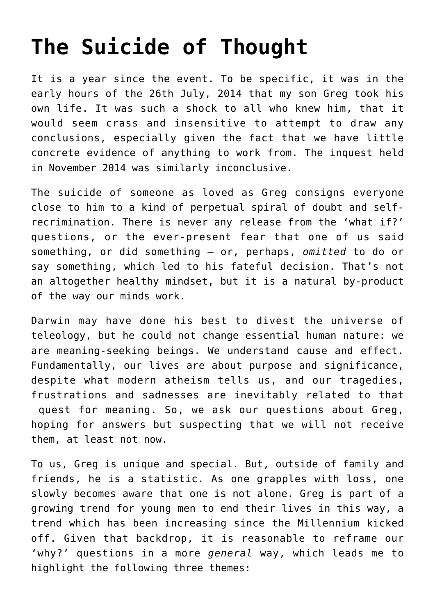# **[The Suicide of Thought](https://intellectualtakeout.org/2015/09/the-suicide-of-thought/)**

It is a year since the event. To be specific, it was in the early hours of the 26th July, 2014 that my son Greg took his own life. It was such a shock to all who knew him, that it would seem crass and insensitive to attempt to draw any conclusions, especially given the fact that we have little concrete evidence of anything to work from. The inquest held in November 2014 was similarly inconclusive.

The suicide of someone as loved as Greg consigns everyone close to him to a kind of perpetual spiral of doubt and selfrecrimination. There is never any release from the 'what if?' questions, or the ever-present fear that one of us said something, or did something – or, perhaps, *omitted* to do or say something, which led to his fateful decision. That's not an altogether healthy mindset, but it is a natural by-product of the way our minds work.

Darwin may have done his best to divest the universe of teleology, but he could not change essential human nature: we are meaning-seeking beings. We understand cause and effect. Fundamentally, our lives are about purpose and significance, despite what modern atheism tells us, and our tragedies, frustrations and sadnesses are inevitably related to that quest for meaning. So, we ask our questions about Greg, hoping for answers but suspecting that we will not receive them, at least not now.

To us, Greg is unique and special. But, outside of family and friends, he is a statistic. As one grapples with loss, one slowly becomes aware that one is not alone. Greg is part of a growing trend for young men to end their lives in this way, a trend which has been increasing since the Millennium kicked off. Given that backdrop, it is reasonable to reframe our 'why?' questions in a more *general* way, which leads me to highlight the following three themes: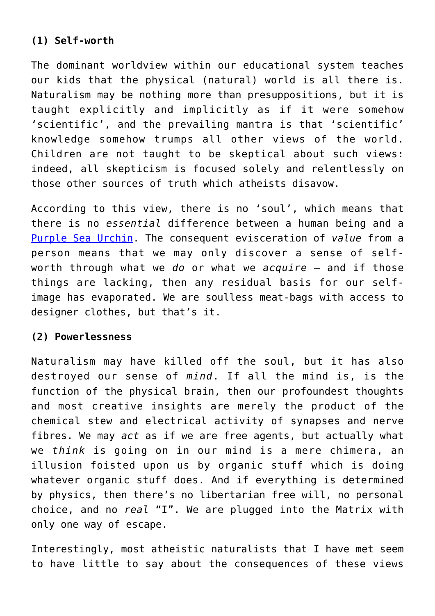## **(1) Self-worth**

The dominant worldview within our educational system teaches our kids that the physical (natural) world is all there is. Naturalism may be nothing more than presuppositions, but it is taught explicitly and implicitly as if it were somehow 'scientific', and the prevailing mantra is that 'scientific' knowledge somehow trumps all other views of the world. Children are not taught to be skeptical about such views: indeed, all skepticism is focused solely and relentlessly on those other sources of truth which atheists disavow.

According to this view, there is no 'soul', which means that there is no *essential* difference between a human being and a [Purple Sea Urchin](http://tolweb.org/treehouses/?treehouse_id=4879). The consequent evisceration of *value* from a person means that we may only discover a sense of selfworth through what we *do* or what we *acquire* – and if those things are lacking, then any residual basis for our selfimage has evaporated. We are soulless meat-bags with access to designer clothes, but that's it.

#### **(2) Powerlessness**

Naturalism may have killed off the soul, but it has also destroyed our sense of *mind*. If all the mind is, is the function of the physical brain, then our profoundest thoughts and most creative insights are merely the product of the chemical stew and electrical activity of synapses and nerve fibres. We may *act* as if we are free agents, but actually what we *think* is going on in our mind is a mere chimera, an illusion foisted upon us by organic stuff which is doing whatever organic stuff does. And if everything is determined by physics, then there's no libertarian free will, no personal choice, and no *real* "I". We are plugged into the Matrix with only one way of escape.

Interestingly, most atheistic naturalists that I have met seem to have little to say about the consequences of these views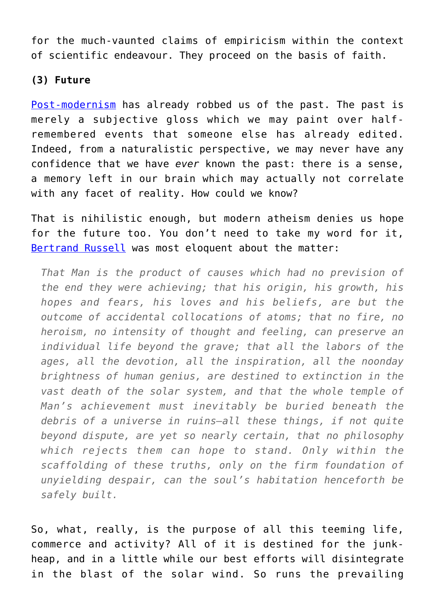for the much-vaunted claims of empiricism within the context of scientific endeavour. They proceed on the basis of faith.

#### **(3) Future**

[Post-modernism](http://www.4truth.net/fourtruthpbscience.aspx?pageid=8589952923) has already robbed us of the past. The past is merely a subjective gloss which we may paint over halfremembered events that someone else has already edited. Indeed, from a naturalistic perspective, we may never have any confidence that we have *ever* known the past: there is a sense, a memory left in our brain which may actually not correlate with any facet of reality. How could we know?

That is nihilistic enough, but modern atheism denies us hope for the future too. You don't need to take my word for it, [Bertrand Russell](http://www.etsjets.org/files/JETS-PDFs/8/8-4/BETS_8_4_139-158_Weigel.pdf) was most eloquent about the matter:

*That Man is the product of causes which had no prevision of the end they were achieving; that his origin, his growth, his hopes and fears, his loves and his beliefs, are but the outcome of accidental collocations of atoms; that no fire, no heroism, no intensity of thought and feeling, can preserve an individual life beyond the grave; that all the labors of the ages, all the devotion, all the inspiration, all the noonday brightness of human genius, are destined to extinction in the vast death of the solar system, and that the whole temple of Man's achievement must inevitably be buried beneath the debris of a universe in ruins—all these things, if not quite beyond dispute, are yet so nearly certain, that no philosophy which rejects them can hope to stand. Only within the scaffolding of these truths, only on the firm foundation of unyielding despair, can the soul's habitation henceforth be safely built.*

So, what, really, is the purpose of all this teeming life, commerce and activity? All of it is destined for the junkheap, and in a little while our best efforts will disintegrate in the blast of the solar wind. So runs the prevailing